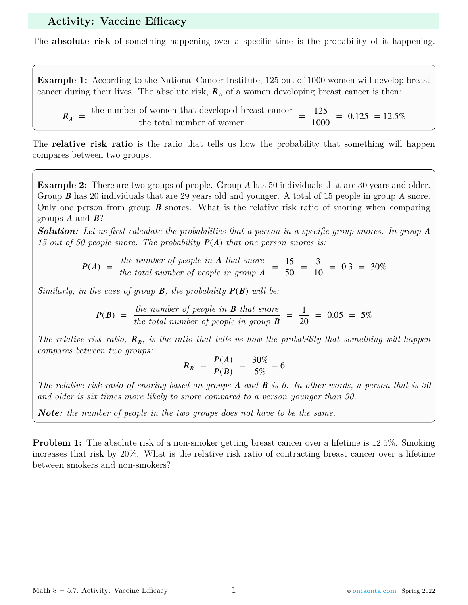## **Activity: Vaccine Efficacy**

The **absolute risk** of something happening over a specific time is the probability of it happening.

**Example 1:** According to the National Cancer Institute, 125 out of 1000 women will develop breast cancer during their lives. The absolute risk,  $R_A$  of a women developing breast cancer is then:

$$
R_A =
$$
  $\frac{\text{the number of women that developed breast cancer}}{\text{the total number of women}} = \frac{125}{1000} = 0.125 = 12.5\%$ 

The **relative risk ratio** is the ratio that tells us how the probability that something will happen compares between two groups.

**Example 2:** There are two groups of people. Group A has 50 individuals that are 30 years and older. Group *B* has 20 individuals that are 29 years old and younger. A total of 15 people in group *A* snore. Only one person from group  $\bm{B}$  snores. What is the relative risk ratio of snoring when comparing groups *A* and *B*?

**Solution:** Let us first calculate the probabilities that a person in a specific group snores. In group A *15 out of 50 people snore. The probability*  $P(A)$  *that one person snores is:* 

$$
P(A) = \frac{the \ number \ of \ people \ in \ A \ that \ source}{the \ total \ number \ of \ people \ in \ group \ A} = \frac{15}{50} = \frac{3}{10} = 0.3 = 30\%
$$

*Similarly, in the case of group*  $\bf{B}$ *, the probability*  $P(\bf{B})$  *will be:* 

$$
P(B) = \frac{the \ number \ of \ people \ in \ B \ that \ source}{the \ total \ number \ of \ people \ in \ group \ B} = \frac{1}{20} = 0.05 = 5\%
$$

*The relative risk ratio,*  $\mathbf{R}_{R}$ *, is the ratio that tells us how the probability that something will happen compares between two groups:*

$$
R_R = \frac{P(A)}{P(B)} = \frac{30\%}{5\%} = 6
$$

*The relative risk ratio of snoring based on groups A and B is 6. In other words, a person that is 30 and older is six times more likely to snore compared to a person younger than 30.*

*Note: the number of people in the two groups does not have to be the same.*

**Problem 1:** The absolute risk of a non-smoker getting breast cancer over a lifetime is 12.5%. Smoking increases that risk by 20%. What is the relative risk ratio of contracting breast cancer over a lifetime between smokers and non-smokers?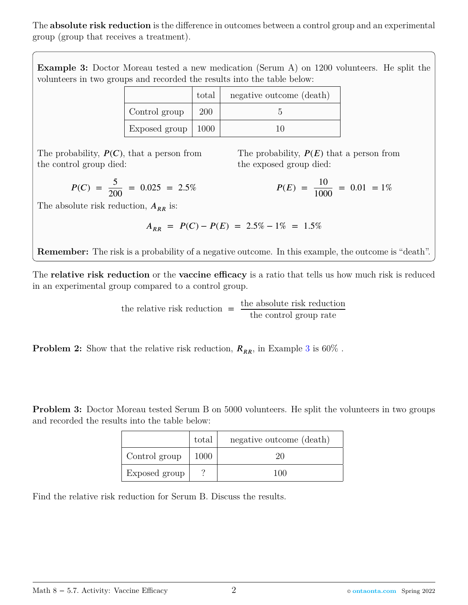The **absolute risk reduction** is the difference in outcomes between a control group and an experimental group (group that receives a treatment).

<span id="page-1-0"></span>**Example 3:** Doctor Moreau tested a new medication (Serum A) on 1200 volunteers. He split the volunteers in two groups and recorded the results into the table below:

|                      | total | negative outcome (death) |
|----------------------|-------|--------------------------|
| Control group        | 200   |                          |
| Exposed group   1000 |       |                          |

The probability,  $P(C)$ , that a person from the control group died:

The probability,  $P(E)$  that a person from the exposed group died:

1000

 $= 0.01 = 1\%$ 

 $P(E) = \frac{10}{100}$ 

$$
P(C) = \frac{5}{200} = 0.025 = 2.5\%
$$

The absolute risk reduction,  $A_{RR}$  is:

$$
A_{RR} = P(C) - P(E) = 2.5\% - 1\% = 1.5\%
$$

**Remember:** The risk is a probability of a negative outcome. In this example, the outcome is "death".

The **relative risk reduction** or the **vaccine efficacy** is a ratio that tells us how much risk is reduced in an experimental group compared to a control group.

> the relative risk reduction  $=$  the absolute risk reduction the control group rate

**Problem 2:** Show that the relative risk reduction,  $R_{RR}$ , in Example [3](#page-1-0) is 60%.

**Problem 3:** Doctor Moreau tested Serum B on 5000 volunteers. He split the volunteers in two groups and recorded the results into the table below:

|               | total | negative outcome (death) |
|---------------|-------|--------------------------|
| Control group | 1000  | 20                       |
| Exposed group |       | 100                      |

Find the relative risk reduction for Serum B. Discuss the results.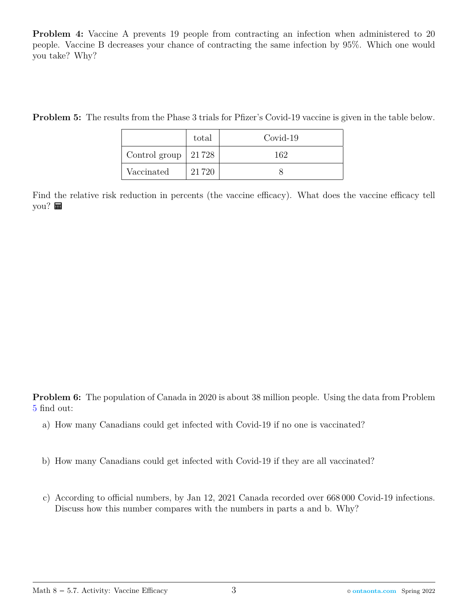**Problem 4:** Vaccine A prevents 19 people from contracting an infection when administered to 20 people. Vaccine B decreases your chance of contracting the same infection by 95%. Which one would you take? Why?

<span id="page-2-0"></span>**Problem 5:** The results from the Phase 3 trials for Pfizer's Covid-19 vaccine is given in the table below.

|                         | total  | Covid-19 |
|-------------------------|--------|----------|
| Control group   $21728$ |        | 162      |
| Vaccinated              | 21 720 |          |

Find the relative risk reduction in percents (the vaccine efficacy). What does the vaccine efficacy tell you? **■** 

**Problem 6:** The population of Canada in 2020 is about 38 million people. Using the data from Problem [5](#page-2-0) find out:

- a) How many Canadians could get infected with Covid-19 if no one is vaccinated?
- b) How many Canadians could get infected with Covid-19 if they are all vaccinated?
- c) According to official numbers, by Jan 12, 2021 Canada recorded over 668 000 Covid-19 infections. Discuss how this number compares with the numbers in parts a and b. Why?